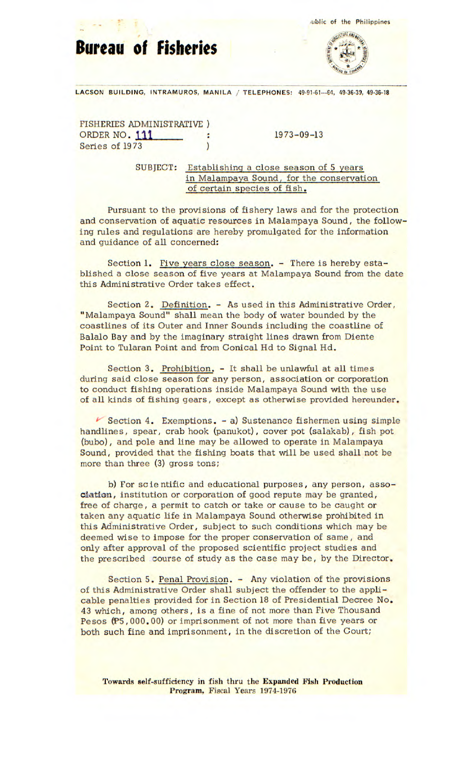**Bureau of Fisheries** 





LACSON BUILDING, INTRAMUROS, MANILA / TELEPHONES: 49-91-61-64, 49-36-39, 49-36-18

FISHERIES ADMINISTRATIVE) ORDER NO. 111 : 1973-09-13 Series of 1973

SUBJECT: Establishing a close season of 5 years in Malampaya Sound, for the conservation of certain species of fish.

Pursuant to the provisions of fishery laws and for the protection and conservation of aquatic resources in Malampaya Sound, the following rules and regulations are hereby promulgated for the information and guidance of all concerned:

Section 1. Five years close season. - There is hereby established a close season of five years at Malampaya Sound from the date this Administrative Order takes effect.

Section 2. Definition. - As used in this Administrative Order, "Malampaya Sound" shall mean the body of water bounded by the coastlines of its Outer and Inner Sounds including the coastline of Balalo Bay and by the imaginary straight lines drawn from Diente Point to Tularan Point and from Conical Hd to Signal Hd.

Section 3. Prohibition. - It shall be unlawful at all times during said close season for any person, association or corporation to conduct fishing operations inside Malampaya Sound with the use of all kinds of fishing gears, except as otherwise provided hereunder.

 $\blacktriangleright$  Section 4. Exemptions. - a) Sustenance fishermen using simple handlines, spear, crab hook (panukot), cover pot (salakab), fish pot (bubo), and pole and line may be allowed to operate in Malampaya Sound, provided that the fishing boats that will be used shall not be more than three (3) gross tons;

b) For scientific and educational purposes, any person, association, institution or corporation of good repute may be granted, free of charge, a permit to catch or take or cause to be caught or taken any aquatic life in Malampaya Sound otherwise prohibited in this Administrative Order, subject to such conditions which may be deemed wise to impose for the proper conservation of same, and only after approval of the proposed scientific project studies and the prescribed course of study as the case may be, by the Director.

Section 5. Penal Provision. - Any violation of the provisions of this Administrative Order shall subject the offender to the applicable penalties provided for in Section 18 of Presidential Decree No. 43 which, among others, is a fine of not more than Five Thousand Pesos (P5, 000. 00) or imprisonment of not more than five years or both such fine and imprisonment, in the discretion of the Court;

**Towards self-sufficiency in fish thru the Expanded Fish Production Program,** Fiscal Years 1974-1976